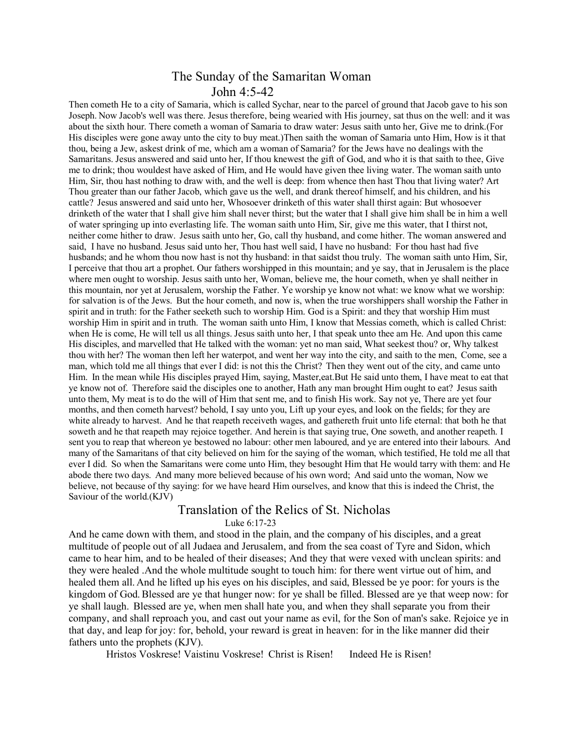## The Sunday of the Samaritan Woman John 4:5-42

Then cometh He to a city of Samaria, which is called Sychar, near to the parcel of ground that Jacob gave to his son Joseph. Now Jacob's well was there. Jesus therefore, being wearied with His journey, sat thus on the well: and it was about the sixth hour. There cometh a woman of Samaria to draw water: Jesus saith unto her, Give me to drink.(For His disciples were gone away unto the city to buy meat.)Then saith the woman of Samaria unto Him, How is it that thou, being a Jew, askest drink of me, which am a woman of Samaria? for the Jews have no dealings with the Samaritans. Jesus answered and said unto her, If thou knewest the gift of God, and who it is that saith to thee, Give me to drink; thou wouldest have asked of Him, and He would have given thee living water. The woman saith unto Him, Sir, thou hast nothing to draw with, and the well is deep: from whence then hast Thou that living water? Art Thou greater than our father Jacob, which gave us the well, and drank thereof himself, and his children, and his cattle? Jesus answered and said unto her, Whosoever drinketh of this water shall thirst again: But whosoever drinketh of the water that I shall give him shall never thirst; but the water that I shall give him shall be in him a well of water springing up into everlasting life. The woman saith unto Him, Sir, give me this water, that I thirst not, neither come hither to draw. Jesus saith unto her, Go, call thy husband, and come hither. The woman answered and said, I have no husband. Jesus said unto her, Thou hast well said, I have no husband: For thou hast had five husbands; and he whom thou now hast is not thy husband: in that saidst thou truly. The woman saith unto Him, Sir, I perceive that thou art a prophet. Our fathers worshipped in this mountain; and ye say, that in Jerusalem is the place where men ought to worship. Jesus saith unto her, Woman, believe me, the hour cometh, when ye shall neither in this mountain, nor yet at Jerusalem, worship the Father. Ye worship ye know not what: we know what we worship: for salvation is of the Jews. But the hour cometh, and now is, when the true worshippers shall worship the Father in spirit and in truth: for the Father seeketh such to worship Him. God is a Spirit: and they that worship Him must worship Him in spirit and in truth. The woman saith unto Him, I know that Messias cometh, which is called Christ: when He is come, He will tell us all things. Jesus saith unto her, I that speak unto thee am He. And upon this came His disciples, and marvelled that He talked with the woman: yet no man said, What seekest thou? or, Why talkest thou with her? The woman then left her waterpot, and went her way into the city, and saith to the men, Come, see a man, which told me all things that ever I did: is not this the Christ? Then they went out of the city, and came unto Him. In the mean while His disciples prayed Him, saying, Master,eat.But He said unto them, I have meat to eat that ye know not of. Therefore said the disciples one to another, Hath any man brought Him ought to eat? Jesus saith unto them, My meat is to do the will of Him that sent me, and to finish His work. Say not ye, There are yet four months, and then cometh harvest? behold, I say unto you, Lift up your eyes, and look on the fields; for they are white already to harvest. And he that reapeth receiveth wages, and gathereth fruit unto life eternal: that both he that soweth and he that reapeth may rejoice together. And herein is that saying true, One soweth, and another reapeth. I sent you to reap that whereon ye bestowed no labour: other men laboured, and ye are entered into their labours. And many of the Samaritans of that city believed on him for the saying of the woman, which testified, He told me all that ever I did. So when the Samaritans were come unto Him, they besought Him that He would tarry with them: and He abode there two days. And many more believed because of his own word; And said unto the woman, Now we believe, not because of thy saying: for we have heard Him ourselves, and know that this is indeed the Christ, the Saviour of the world.(KJV)

## Translation of the Relics of St. Nicholas Luke 6:17-23

And he came down with them, and stood in the plain, and the company of his disciples, and a great multitude of people out of all Judaea and Jerusalem, and from the sea coast of Tyre and Sidon, which came to hear him, and to be healed of their diseases; And they that were vexed with unclean spirits: and they were healed .And the whole multitude sought to touch him: for there went virtue out of him, and healed them all. And he lifted up his eyes on his disciples, and said, Blessed be ye poor: for yours is the kingdom of God.Blessed are ye that hunger now: for ye shall be filled. Blessed are ye that weep now: for ye shall laugh. Blessed are ye, when men shall hate you, and when they shall separate you from their company, and shall reproach you, and cast out your name as evil, for the Son of man's sake. Rejoice ye in that day, and leap for joy: for, behold, your reward is great in heaven: for in the like manner did their fathers unto the prophets (KJV).

Hristos Voskrese! Vaistinu Voskrese! Christ is Risen! Indeed He is Risen!